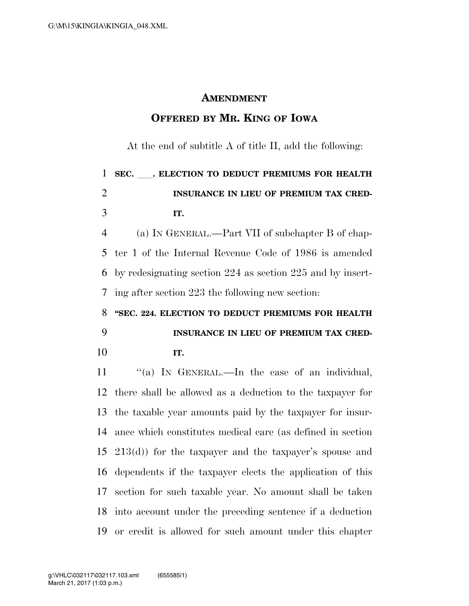#### **AMENDMENT**

### **OFFERED BY MR. KING OF IOWA**

At the end of subtitle A of title II, add the following:

# **SEC.** ll**. ELECTION TO DEDUCT PREMIUMS FOR HEALTH INSURANCE IN LIEU OF PREMIUM TAX CRED-IT.**

 (a) IN GENERAL.—Part VII of subchapter B of chap- ter 1 of the Internal Revenue Code of 1986 is amended by redesignating section 224 as section 225 and by insert-ing after section 223 the following new section:

## **''SEC. 224. ELECTION TO DEDUCT PREMIUMS FOR HEALTH INSURANCE IN LIEU OF PREMIUM TAX CRED-IT.**

11 "(a) IN GENERAL.—In the case of an individual, there shall be allowed as a deduction to the taxpayer for the taxable year amounts paid by the taxpayer for insur- ance which constitutes medical care (as defined in section 213(d)) for the taxpayer and the taxpayer's spouse and dependents if the taxpayer elects the application of this section for such taxable year. No amount shall be taken into account under the preceding sentence if a deduction or credit is allowed for such amount under this chapter